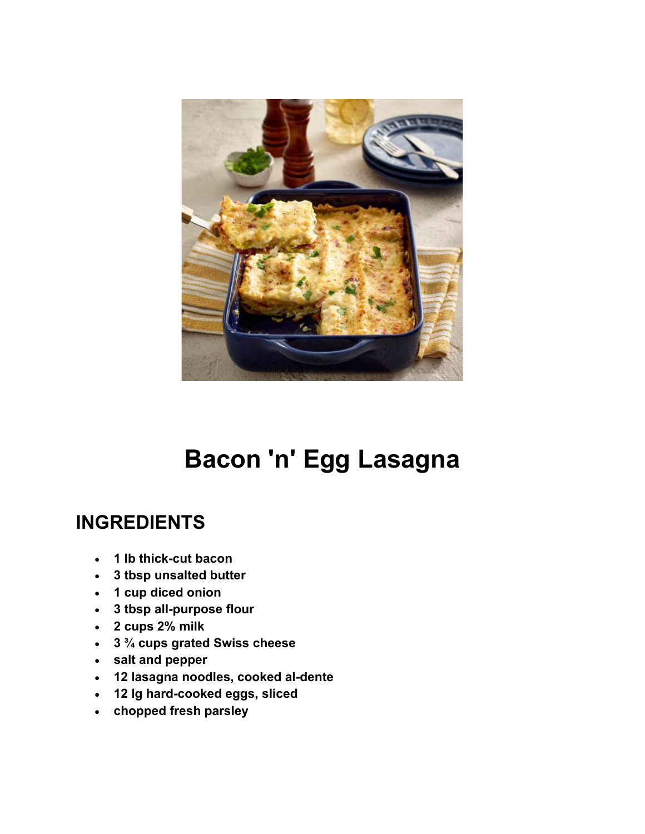

## **Bacon 'n' Egg Lasagna**

## **INGREDIENTS**

- **1 lb thick-cut bacon**
- **3 tbsp unsalted butter**
- **1 cup diced onion**
- **3 tbsp all-purpose flour**
- **2 cups 2% milk**
- **3 ¾ cups grated Swiss cheese**
- **salt and pepper**
- **12 lasagna noodles, cooked al-dente**
- **12 lg hard-cooked eggs, sliced**
- **chopped fresh parsley**